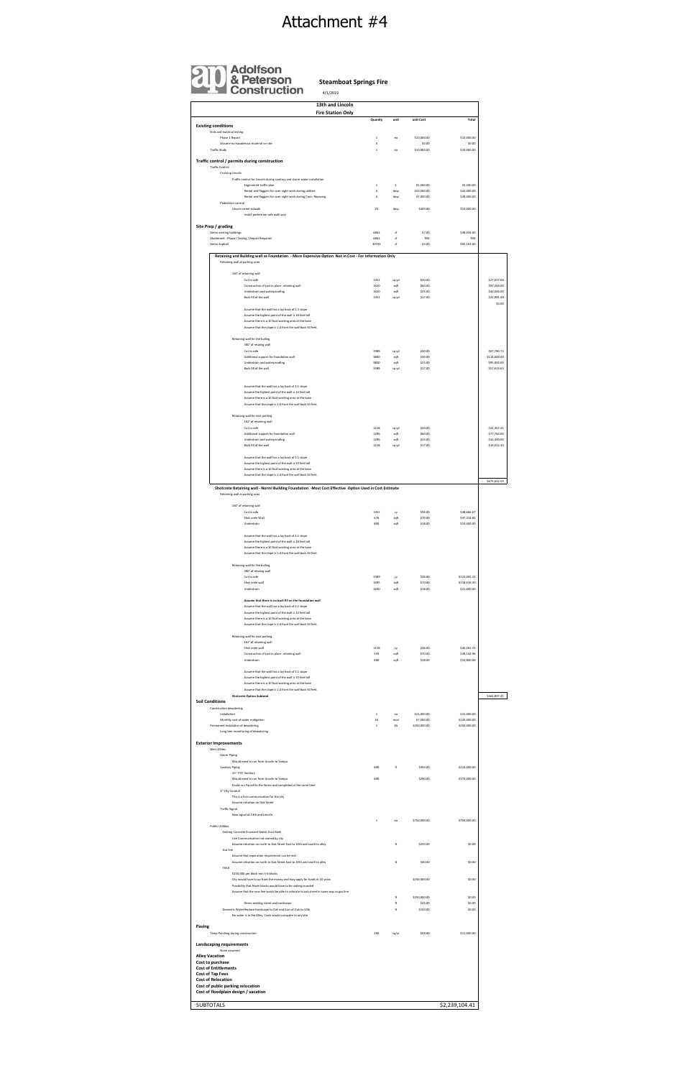**Quanity** unit unit Cost **Total Existing conditions** Soils and material testing<br>Phase 1 Report Phase 1 Report 1 ea \$10,000.00 \$10,000.00 Phase 1 Report 1 <br>Assume no hazaderous material on site 0 \$10,000.00 \$10,000.00 \$10,000.00 \$0.00<br>Traffic Study \$10,000.00 \$10,000.00 \$10,000.00 \$10,000.00 \$10,000.00 \$10,000.00 \$10,000.00 \$10,000.00 \$10,000.0 Traffic Study 1 ea \$10,000.00 \$10,000.00 **Traffic control / permits during construction** Traffic Control Crossing Lincoln Traffic control for Lincoln during sanitary and storm water installation<br>Enginement traffic plan in the state over night work during utilities<br>Rental and flaggers for over night work during utilities the state of the contr Pedestrian control Lincoln street sidwalk 25 days \$400.00 \$10,000.00 \$10,000.00 Install pedestrian safe walk way **Site Prep / grading** Demo existing buildings 686,034.00 \$48,034.00<br>Abatement - Phase I Testing / Report Required the state of the state of the state of the State of the State of 6862 sf \$7.00 \$48,034.00<br>6862 sf TBD TBD<br>30721 sf \$3.00 \$92,163.00 Demo Asphalt 30721 sf \$3.00 \$92,163.00 Retaining and Building wall as Foundation - More Expensive Option Not in Cost - For Information Only Retaining wall at parking area 160' of retaining wall Cut to safe 1352 sq yd \$20.00 \$27,037.04 \$27,037.04 \$27,037.04 \$27,037.04<br>Construction of cast in place retaining wall<br>Underdrain and waterproofing 1620 sqft \$17,000 \$40,500.000 \$40,500.000 \$40,500.000 \$40,500.00<br>Back fil \$0.00 Assume that the wall has a lay back of 1:1 slope Assume the highest point of the wall is 18 feet tall Assume there is a 10 foot working area at the base Assume that the slope is 1:4 from the wall back 50 feet. Retianing wall for the builing 380' of retaiing wall Cut to safe 3189 sq yd \$20.00 \$17.780.74<br>Additional support for foundation wall<br>Underdrain and waterproofing strategy and the wall support and the wall and the wall of the wall strategy of t<br>Back fill of the wall 357,600. Assume that the wall has a lay back of 1:1 slope Assume the highest point of the wall is 14 feet tall Assume there is a 10 foot working area at the base Assume that the slope is 1:4 from the wall back 50 feet. Retaining wall for east parking 1627 creationing wall<br>Cut to safe<br>Underdrain and waterproofing and the safety of the safety of the S60.00 (197.760.00 (197.760.00 )<br>Underdrain and waterproofing and the safety of the safety of the S55.00 (197.760.00 )<br>Back Assume that the wall has a lay back of 1:1 slope Assume the highest point of the wall is 10 feet tall Assume there is a 10 foot working area at the base Assume that the slope is 1:4 from the wall back 50 feet. \$673,652.59 Shotcrete Retaining wall - Norml Building Foundation -Most Cost Effective Option Used in Cost Estimate Retaining wall at parking area 160' of retaining wall<br>Cut to safe<br>Shot crete Wall<br>Underdrain Cut to safe 1352 cy \$36.00 \$48,666.67 Shot crete Wall 676 sqft \$70.00 \$47,314.81 Underdrain 800 sqft \$18.00 \$14,400.00 Assume that the wall has a lay back of 2:1 slope Assume the highest point of the wall is 18 feet tall Assume there is a 10 foot working area at the base Assume that the slope is 1:4 from the wall back 50 feet. Retianing wall for the builing 380' of retaiing wall Cut to safe 3122,005.33 cy 536.00 \$122,005.33<br>Shot crete wall 1695 sqft \$70.000 \$118,616.300 \$118,616.300 \$118,616.30<br>Underdrain \$21,600.00 **Assume that there is no back fill on the foundation wall** Assume that the wall has a lay back of 2:1 slope Assume the highest point of the wall is 14 feet tall Assume there is a 10 foot working area at the base Assume that the slope is 1:4 from the wall back 50 feet. Retaining wall for east parking 162' of retaining wall<br>Shot crete wall 1118 cy \$36.00 \$40,261.33 Construction of cast in place retaining wall<br>Construction of cast in place retaining wall<br>11.18 sqft \$70.00 \$39,142.96<br>10.000 \$10,800.00 \$10,800.00 \$10,800.00 \$10,800.00 \$10,800.00 Underdrain 600 sqft \$18.00 \$10,800.00 Assume that the wall has a lay back of 2:1 slope Assume the highest point of the wall is 10 feet tall Assume there is a 10 foot working area at the base Assume that the slope is 1:4 from the wall back 50 feet. \$462,807.41 **Soil Conditions** Construction dewatering Installation 1 ea \$15,000.00 \$15,000.00 Installation \$15,000.00 \$15,000.00 \$15,000.00 \$15,000.00 \$15,000.00<br>Monthly cost of water midigation 16 mon \$7,500.000 \$1,000.00 \$1,000.00 \$1,000.00<br>anent instalation of dewatering \$550,000.00 Permanent instalation of dewatering 1 EA \$250,000.00 \$250,000.00 Long tem momituring of dewatering **Exterior Improvements** Wet Utilites Storm Piping Would need to run from Lincoln to Yampa Sanitary Piping 600 lf \$350.00 \$210,000.00 10 " PVC Sanitary Would need to run from Lincoln to Yampa 600 \$174,000.00 \$174,000.00 \$174,000.00 \$174,000.00<br>Could run Parrell to the Storm and completed at the same time 2" City Conduit **Fire Station Only Shotcrete Option Subtotal** 4/1/2019 **13th and Lincoln**

| This is a live communication for the city                                                |              |       |              |                |
|------------------------------------------------------------------------------------------|--------------|-------|--------------|----------------|
| Assume relcation on Oak Street                                                           |              |       |              |                |
| <b>Traffic Signal</b>                                                                    |              |       |              |                |
| New signal at 13th and Lincoln                                                           |              |       |              |                |
|                                                                                          | $\mathbf{1}$ | ea    | \$750,000.00 | \$750,000.00   |
| <b>Public Utilities</b>                                                                  |              |       |              |                |
| Existing Concrete Encassed Qwest Duct Bank                                               |              |       |              |                |
| Live Communication not owned by city                                                     |              |       |              |                |
| Assume relcation on north to Oak Street East to 10th and south to alley                  |              | ft    | \$250.00     | \$0.00         |
| Gas line                                                                                 |              |       |              |                |
| Assume that seperation requirement can be met                                            |              |       |              |                |
| Assume relcation on north to Oak Street East to 10th and south to alley                  |              | ft    | \$40.00      | \$0.00         |
| YVEA                                                                                     |              |       |              |                |
| \$250,000 per block min 5-6 blocks                                                       |              |       |              |                |
| City would have to up front the money and may apply for funds in 10 years                |              |       | \$250,000.00 | \$0.00         |
| Possibility that fewer blocks would have to be undergrounded                             |              |       |              |                |
| Assume that the new line would be able to relocate to oak street in same way as gas line |              |       |              |                |
|                                                                                          |              | ft    | \$250,000.00 | \$0.00         |
| Demo existing street and hardscape                                                       |              | ft    | \$45.00      | \$0.00         |
| Domestic WaterReplace hardscape to Oak and East of Oak to 10th                           |              | ft    | \$150.00     | \$0.00         |
| No water is in the Alley. Costs would compaire to any site                               |              |       |              |                |
| Paving                                                                                   |              |       |              |                |
| Temp Patching during construction                                                        | 200          | sq/yr | \$58.00      | \$11,600.00    |
| Landscaping requirements                                                                 |              |       |              |                |
| None assumed                                                                             |              |       |              |                |
| <b>Alley Vacation</b>                                                                    |              |       |              |                |
| Cost to purchase                                                                         |              |       |              |                |
| <b>Cost of Entitlements</b>                                                              |              |       |              |                |
| Cost of Tap Fees                                                                         |              |       |              |                |
| <b>Cost of Relocation</b>                                                                |              |       |              |                |
| Cost of public parking relocation                                                        |              |       |              |                |
| Cost of floodplain design / vacation                                                     |              |       |              |                |
|                                                                                          |              |       |              |                |
| <b>SUBTOTALS</b>                                                                         |              |       |              | \$2,239,104.41 |

**Steamboat Springs Fire**

## Attachment #4

| <b>Adolfson</b><br>& Peterson<br>Construction |  |
|-----------------------------------------------|--|
|-----------------------------------------------|--|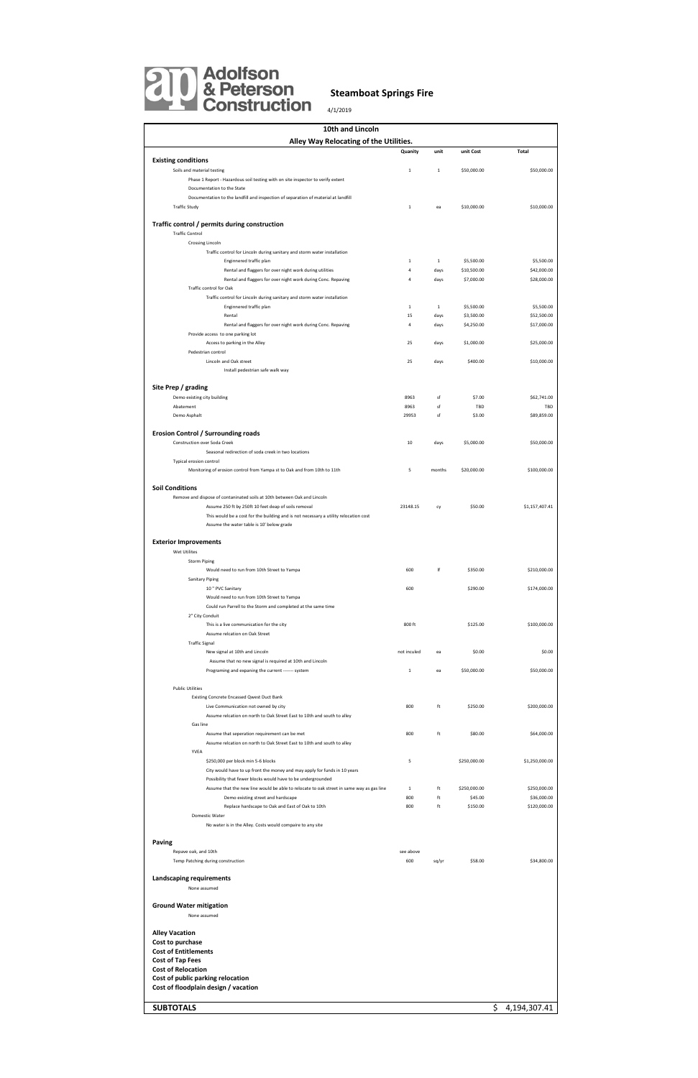| 10th and Lincoln                                                                         |                |              |              |  |                |  |  |  |
|------------------------------------------------------------------------------------------|----------------|--------------|--------------|--|----------------|--|--|--|
| Alley Way Relocating of the Utilities.                                                   |                |              |              |  |                |  |  |  |
|                                                                                          | Quanity        | unit         | unit Cost    |  | <b>Total</b>   |  |  |  |
| <b>Existing conditions</b>                                                               |                |              |              |  |                |  |  |  |
| Soils and material testing                                                               | $\mathbf 1$    | $1\,$        | \$50,000.00  |  | \$50,000.00    |  |  |  |
| Phase 1 Report - Hazardous soil testing with on site inspector to verify extent          |                |              |              |  |                |  |  |  |
| Documentation to the State                                                               |                |              |              |  |                |  |  |  |
| Documentation to the landfill and inspection of separation of material at landfill       |                |              |              |  |                |  |  |  |
| <b>Traffic Study</b>                                                                     | $1\,$          | ea           | \$10,000.00  |  | \$10,000.00    |  |  |  |
|                                                                                          |                |              |              |  |                |  |  |  |
| Traffic control / permits during construction                                            |                |              |              |  |                |  |  |  |
| <b>Traffic Control</b>                                                                   |                |              |              |  |                |  |  |  |
| Crossing Lincoln                                                                         |                |              |              |  |                |  |  |  |
| Traffic control for Lincoln during sanitary and storm water installation                 |                |              |              |  |                |  |  |  |
| Enginnered traffic plan                                                                  | $\mathbf{1}$   | $\mathbf{1}$ | \$5,500.00   |  | \$5,500.00     |  |  |  |
| Rental and flaggers for over night work during utilities                                 | $\sqrt{4}$     | days         | \$10,500.00  |  | \$42,000.00    |  |  |  |
| Rental and flaggers for over night work during Conc. Repaving                            | $\overline{4}$ | days         | \$7,000.00   |  | \$28,000.00    |  |  |  |
| Traffic control for Oak                                                                  |                |              |              |  |                |  |  |  |
| Traffic control for Lincoln during sanitary and storm water installation                 |                |              |              |  |                |  |  |  |
| Enginnered traffic plan                                                                  | $\mathbf{1}$   | $\mathbf{1}$ | \$5,500.00   |  | \$5,500.00     |  |  |  |
| Rental                                                                                   | 15             | days         | \$3,500.00   |  | \$52,500.00    |  |  |  |
| Rental and flaggers for over night work during Conc. Repaving                            | $\bf{4}$       | days         | \$4,250.00   |  | \$17,000.00    |  |  |  |
| Provide access to one parking lot                                                        |                |              |              |  |                |  |  |  |
| Access to parking in the Alley                                                           | 25             | days         | \$1,000.00   |  | \$25,000.00    |  |  |  |
| Pedestrian control                                                                       |                |              |              |  |                |  |  |  |
| Lincoln and Oak street                                                                   | 25             | days         | \$400.00     |  | \$10,000.00    |  |  |  |
|                                                                                          |                |              |              |  |                |  |  |  |
| Install pedestrian safe walk way                                                         |                |              |              |  |                |  |  |  |
| Site Prep / grading                                                                      |                |              |              |  |                |  |  |  |
|                                                                                          |                |              |              |  |                |  |  |  |
| Demo existing city building                                                              | 8963           | sf           | \$7.00       |  | \$62,741.00    |  |  |  |
| Abatement                                                                                | 8963           | sf           | <b>TBD</b>   |  | TBD            |  |  |  |
| Demo Asphalt                                                                             | 29953          | sf           | \$3.00       |  | \$89,859.00    |  |  |  |
|                                                                                          |                |              |              |  |                |  |  |  |
| Erosion Control / Surrounding roads                                                      |                |              |              |  |                |  |  |  |
| Construction over Soda Creek                                                             | 10             | days         | \$5,000.00   |  | \$50,000.00    |  |  |  |
| Seasonal redirection of soda creek in two locations                                      |                |              |              |  |                |  |  |  |
| Typical erosion control                                                                  |                |              |              |  |                |  |  |  |
| Monitoring of erosion control from Yampa st to Oak and from 10th to 11th                 | 5              | months       | \$20,000.00  |  | \$100,000.00   |  |  |  |
|                                                                                          |                |              |              |  |                |  |  |  |
| <b>Soil Conditions</b>                                                                   |                |              |              |  |                |  |  |  |
| Remove and dispose of contaninated soils at 10th between Oak and Lincoln                 |                |              |              |  |                |  |  |  |
| Assume 250 ft by 250ft 10 feet deap of soils removal                                     | 23148.15       | cy           | \$50.00      |  | \$1,157,407.41 |  |  |  |
| This would be a cost for the building and is not necessary a utility relocation cost     |                |              |              |  |                |  |  |  |
| Assume the water table is 10' below grade                                                |                |              |              |  |                |  |  |  |
|                                                                                          |                |              |              |  |                |  |  |  |
| <b>Exterior Improvements</b>                                                             |                |              |              |  |                |  |  |  |
| Wet Utilites                                                                             |                |              |              |  |                |  |  |  |
| <b>Storm Piping</b>                                                                      |                |              |              |  |                |  |  |  |
| Would need to run from 10th Street to Yampa                                              | 600            | If           | \$350.00     |  | \$210,000.00   |  |  |  |
| Sanitary Piping                                                                          |                |              |              |  |                |  |  |  |
| 10 " PVC Sanitary                                                                        | 600            |              | \$290.00     |  | \$174,000.00   |  |  |  |
| Would need to run from 10th Street to Yampa                                              |                |              |              |  |                |  |  |  |
| Could run Parrell to the Storm and completed at the same time                            |                |              |              |  |                |  |  |  |
| 2" City Conduit                                                                          |                |              |              |  |                |  |  |  |
| This is a live communication for the city                                                | 800 ft         |              | \$125.00     |  | \$100,000.00   |  |  |  |
| Assume relcation on Oak Street                                                           |                |              |              |  |                |  |  |  |
|                                                                                          |                |              |              |  |                |  |  |  |
| <b>Traffic Signal</b>                                                                    |                |              |              |  |                |  |  |  |
| New signal at 10th and Lincoln                                                           | not inculed    | ea           | \$0.00       |  | \$0.00         |  |  |  |
| Assume that no new signal is required at 10th and Lincoln                                |                |              |              |  |                |  |  |  |
| Programing and expaning the current ------- system                                       | $1\,$          | ea           | \$50,000.00  |  | \$50,000.00    |  |  |  |
|                                                                                          |                |              |              |  |                |  |  |  |
| <b>Public Utilities</b>                                                                  |                |              |              |  |                |  |  |  |
| Existing Concrete Encassed Qwest Duct Bank                                               |                |              |              |  |                |  |  |  |
| Live Communication not owned by city                                                     | 800            | ft           | \$250.00     |  | \$200,000.00   |  |  |  |
| Assume relcation on north to Oak Street East to 10th and south to alley                  |                |              |              |  |                |  |  |  |
| Gas line                                                                                 |                |              |              |  |                |  |  |  |
| Assume that seperation requirement can be met                                            | 800            | ft           | \$80.00      |  | \$64,000.00    |  |  |  |
| Assume relcation on north to Oak Street East to 10th and south to alley                  |                |              |              |  |                |  |  |  |
| YVEA                                                                                     |                |              |              |  |                |  |  |  |
| \$250,000 per block min 5-6 blocks                                                       | 5              |              | \$250,000.00 |  | \$1,250,000.00 |  |  |  |
| City would have to up front the money and may apply for funds in 10 years                |                |              |              |  |                |  |  |  |
| Possibility that fewer blocks would have to be undergrounded                             |                |              |              |  |                |  |  |  |
| Assume that the new line would be able to relocate to oak street in same way as gas line | $\mathbf{1}$   | ft           | \$250,000.00 |  | \$250,000.00   |  |  |  |
| Demo existing street and hardscape                                                       | 800            | ft           | \$45.00      |  | \$36,000.00    |  |  |  |
| Replace hardscape to Oak and East of Oak to 10th                                         | 800            | ft           | \$150.00     |  | \$120,000.00   |  |  |  |
| Domestic Water                                                                           |                |              |              |  |                |  |  |  |
| No water is in the Alley. Costs would compaire to any site                               |                |              |              |  |                |  |  |  |
|                                                                                          |                |              |              |  |                |  |  |  |
| <b>Paving</b>                                                                            |                |              |              |  |                |  |  |  |
| Repave oak, and 10th                                                                     | see above      |              |              |  |                |  |  |  |
| Temp Patching during construction                                                        | 600            | sq/yr        | \$58.00      |  | \$34,800.00    |  |  |  |
|                                                                                          |                |              |              |  |                |  |  |  |
| Landscaping requirements                                                                 |                |              |              |  |                |  |  |  |
| None assumed                                                                             |                |              |              |  |                |  |  |  |
|                                                                                          |                |              |              |  |                |  |  |  |
| <b>Ground Water mitigation</b>                                                           |                |              |              |  |                |  |  |  |
|                                                                                          |                |              |              |  |                |  |  |  |
| None assumed                                                                             |                |              |              |  |                |  |  |  |
|                                                                                          |                |              |              |  |                |  |  |  |
| <b>Alley Vacation</b>                                                                    |                |              |              |  |                |  |  |  |
| Cost to purchase                                                                         |                |              |              |  |                |  |  |  |
| <b>Cost of Entitlements</b>                                                              |                |              |              |  |                |  |  |  |
| <b>Cost of Tap Fees</b>                                                                  |                |              |              |  |                |  |  |  |
| <b>Cost of Relocation</b>                                                                |                |              |              |  |                |  |  |  |
| Cost of public parking relocation                                                        |                |              |              |  |                |  |  |  |
| Cost of floodplain design / vacation                                                     |                |              |              |  |                |  |  |  |
|                                                                                          |                |              |              |  |                |  |  |  |
| <b>SUBTOTALS</b>                                                                         |                |              |              |  | \$4,194,307.41 |  |  |  |



## **Steamboat Springs Fire**

4/1/2019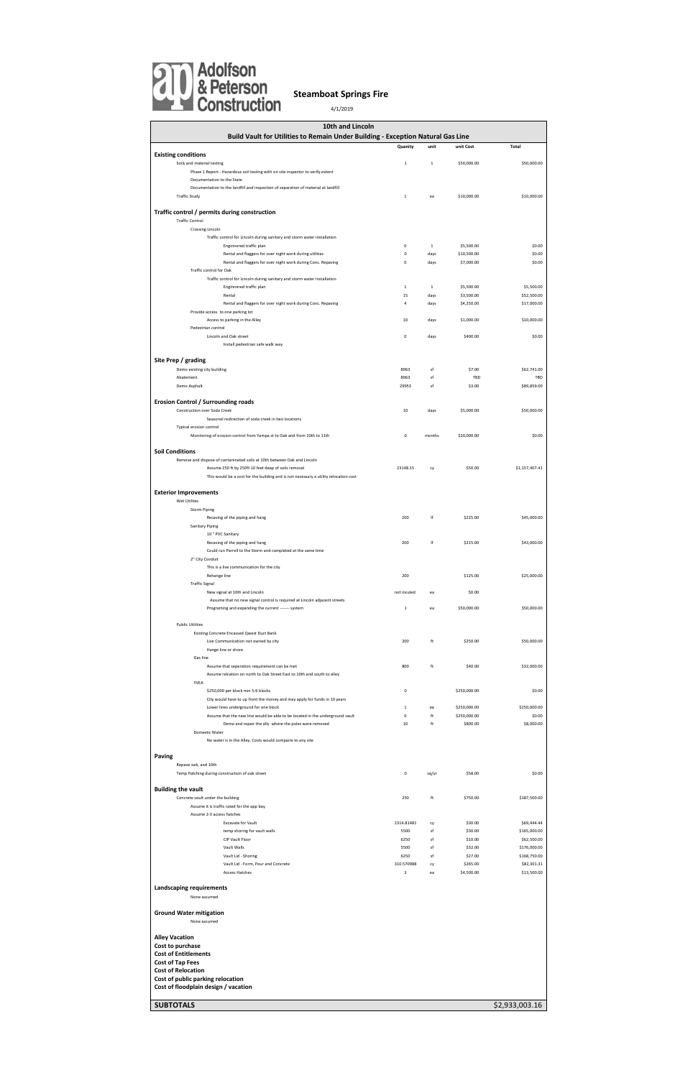| 10th and Lincoln                                                                                                                                                                                                         |              |              |                          |                |
|--------------------------------------------------------------------------------------------------------------------------------------------------------------------------------------------------------------------------|--------------|--------------|--------------------------|----------------|
| Build Vault for Utilities to Remain Under Building - Exception Natural Gas Line                                                                                                                                          |              |              |                          |                |
|                                                                                                                                                                                                                          | Quanity      | unit         | unit Cost                | <b>Total</b>   |
| <b>Existing conditions</b>                                                                                                                                                                                               |              |              |                          |                |
| Soils and material testing                                                                                                                                                                                               | $\mathbf 1$  | $\mathbf{1}$ | \$50,000.00              | \$50,000.00    |
| Phase 1 Report - Hazardous soil testing with on site inspector to verify extent                                                                                                                                          |              |              |                          |                |
| Documentation to the State                                                                                                                                                                                               |              |              |                          |                |
| Documentation to the landfill and inspection of separation of material at landfill                                                                                                                                       |              |              |                          |                |
| <b>Traffic Study</b>                                                                                                                                                                                                     | $\mathbf{1}$ | ea           | \$10,000.00              | \$10,000.00    |
|                                                                                                                                                                                                                          |              |              |                          |                |
| Traffic control / permits during construction                                                                                                                                                                            |              |              |                          |                |
| <b>Traffic Control</b>                                                                                                                                                                                                   |              |              |                          |                |
| <b>Crossing Lincoln</b>                                                                                                                                                                                                  |              |              |                          |                |
| Traffic control for Lincoln during sanitary and storm water installation                                                                                                                                                 |              |              |                          |                |
| Enginnered traffic plan                                                                                                                                                                                                  | $\pmb{0}$    | $\mathbf{1}$ | \$5,500.00               | \$0.00         |
| Rental and flaggers for over night work during utilities                                                                                                                                                                 | 0            | days         | \$10,500.00              | \$0.00         |
| Rental and flaggers for over night work during Conc. Repaving                                                                                                                                                            | 0            | days         | \$7,000.00               | \$0.00         |
| Traffic control for Oak                                                                                                                                                                                                  |              |              |                          |                |
| Traffic control for Lincoln during sanitary and storm water installation<br>Enginnered traffic plan                                                                                                                      | $\mathbf 1$  | $\mathbf{1}$ |                          | \$5,500.00     |
| Rental                                                                                                                                                                                                                   | 15           | days         | \$5,500.00<br>\$3,500.00 | \$52,500.00    |
| Rental and flaggers for over night work during Conc. Repaving                                                                                                                                                            | 4            | days         | \$4,250.00               | \$17,000.00    |
| Provide access to one parking lot                                                                                                                                                                                        |              |              |                          |                |
| Access to parking in the Alley                                                                                                                                                                                           | 10           | days         | \$1,000.00               | \$10,000.00    |
| Pedestrian control                                                                                                                                                                                                       |              |              |                          |                |
| Lincoln and Oak street                                                                                                                                                                                                   | 0            | days         | \$400.00                 | \$0.00         |
| Install pedestrian safe walk way                                                                                                                                                                                         |              |              |                          |                |
|                                                                                                                                                                                                                          |              |              |                          |                |
| Site Prep / grading                                                                                                                                                                                                      |              |              |                          |                |
| Demo existing city building                                                                                                                                                                                              | 8963         | sf           | \$7.00                   | \$62,741.00    |
| Abatement                                                                                                                                                                                                                | 8963         | sf           | TBD                      | TBD            |
| Demo Asphalt                                                                                                                                                                                                             | 29953        | sf           | \$3.00                   | \$89,859.00    |
|                                                                                                                                                                                                                          |              |              |                          |                |
| Erosion Control / Surrounding roads                                                                                                                                                                                      |              |              |                          |                |
| Construction over Soda Creek                                                                                                                                                                                             | 10           | days         | \$5,000.00               | \$50,000.00    |
| Seasonal redirection of soda creek in two locations                                                                                                                                                                      |              |              |                          |                |
| Typical erosion control                                                                                                                                                                                                  |              |              |                          |                |
| Monitoring of erosion control from Yampa st to Oak and from 10th to 11th                                                                                                                                                 | 0            | months       | \$20,000.00              | \$0.00         |
| Remove and dispose of contaninated soils at 10th between Oak and Lincoln<br>Assume 250 ft by 250ft 10 feet deap of soils removal<br>This would be a cost for the building and is not necessary a utility relocation cost | 23148.15     | cy           | \$50.00                  | \$1,157,407.41 |
| <b>Exterior Improvements</b>                                                                                                                                                                                             |              |              |                          |                |
| Wet Utilites                                                                                                                                                                                                             |              |              |                          |                |
| <b>Storm Piping</b>                                                                                                                                                                                                      |              |              |                          |                |
| Recasing of the piping and hang                                                                                                                                                                                          | 200          |              | \$225.00                 | \$45,000.00    |
| <b>Sanitary Piping</b>                                                                                                                                                                                                   |              |              |                          |                |
| 10 " PVC Sanitary                                                                                                                                                                                                        |              |              |                          |                |
| Recasing of the piping and hang                                                                                                                                                                                          | 200          | lf           | \$215.00                 | \$43,000.00    |
| Could run Parrell to the Storm and completed at the same time                                                                                                                                                            |              |              |                          |                |
| 2" City Conduit                                                                                                                                                                                                          |              |              |                          |                |
| This is a live communication for the city                                                                                                                                                                                |              |              |                          |                |
| Rehange line                                                                                                                                                                                                             | 200          |              | \$125.00                 | \$25,000.00    |
| <b>Traffic Signal</b>                                                                                                                                                                                                    |              |              |                          |                |
| New signal at 10th and Lincoln                                                                                                                                                                                           | not inculed  | ea           | \$0.00                   |                |
| Assume that no new signal control is required at Lincoln adjacent streets                                                                                                                                                |              |              | \$50,000.00              |                |
| Programing and expanding the current ------- system                                                                                                                                                                      | $\mathbf 1$  | ea           |                          | \$50,000.00    |
| <b>Public Utilities</b>                                                                                                                                                                                                  |              |              |                          |                |
|                                                                                                                                                                                                                          |              |              |                          |                |
| Existing Concrete Encassed Qwest Duct Bank<br>Live Communication not owned by city                                                                                                                                       | 200          | ft           | \$250.00                 | \$50,000.00    |
| Hange line or shore                                                                                                                                                                                                      |              |              |                          |                |
| Gas line                                                                                                                                                                                                                 |              |              |                          |                |
| Assume that seperation requirement can be met                                                                                                                                                                            | 800          | ft           | \$40.00                  | \$32,000.00    |
| Assume relcation on north to Oak Street East to 10th and south to alley                                                                                                                                                  |              |              |                          |                |
| YVEA                                                                                                                                                                                                                     |              |              |                          |                |
| \$250,000 per block min 5-6 blocks                                                                                                                                                                                       | $\mathbf 0$  |              | \$250,000.00             | \$0.00         |
| City would have to up front the money and may apply for funds in 10 years                                                                                                                                                |              |              |                          |                |
| Lower lines underground for one block                                                                                                                                                                                    | $\mathbf{1}$ | ea           | \$250,000.00             | \$250,000.00   |
|                                                                                                                                                                                                                          | $\pmb{0}$    | ft           | \$250,000.00             | \$0.00         |
| Assume that the new line would be able to be located in the underground vault<br>Demo and repair the ally where the poles were removed                                                                                   | 10           | ft           | \$800.00                 | \$8,000.00     |
| Domestic Water                                                                                                                                                                                                           |              |              |                          |                |
| No water is in the Alley. Costs would compaire to any site                                                                                                                                                               |              |              |                          |                |
|                                                                                                                                                                                                                          |              |              |                          |                |
| <b>Paving</b>                                                                                                                                                                                                            |              |              |                          |                |
| Repave oak, and 10th                                                                                                                                                                                                     |              |              |                          |                |
| Temp Patching during construction of oak street                                                                                                                                                                          | 0            | sq/yr        | \$58.00                  | \$0.00         |
|                                                                                                                                                                                                                          |              |              |                          |                |

| <b>Building the vault</b>          |                                            |                         |    |            |              |
|------------------------------------|--------------------------------------------|-------------------------|----|------------|--------------|
|                                    | Concrete vault under the building          | 250                     | ft | \$750.00   | \$187,500.00 |
|                                    | Assume it is traffic rated for the app bay |                         |    |            |              |
|                                    | Assume 2-3 access hatches                  |                         |    |            |              |
|                                    | <b>Excavate for Vault</b>                  | 2314.81481              | cy | \$30.00    | \$69,444.44  |
|                                    | temp shoring for vault walls               | 5500                    | sf | \$30.00    | \$165,000.00 |
|                                    | CIP Vault Floor                            | 6250                    | sf | \$10.00    | \$62,500.00  |
|                                    | Vault Walls                                | 5500                    | sf | \$32.00    | \$176,000.00 |
|                                    | Vault Lid - Shoring                        | 6250                    | sf | \$27.00    | \$168,750.00 |
|                                    | Vault Lid - Form, Pour and Concrete        | 310.570988              | cy | \$265.00   | \$82,301.31  |
|                                    | <b>Access Hatches</b>                      | $\overline{\mathbf{3}}$ | ea | \$4,500.00 | \$13,500.00  |
| Landscaping requirements           |                                            |                         |    |            |              |
|                                    | None assumed                               |                         |    |            |              |
| <b>Ground Water mitigation</b>     |                                            |                         |    |            |              |
|                                    | None assumed                               |                         |    |            |              |
| <b>Alley Vacation</b>              |                                            |                         |    |            |              |
| Cost to purchase                   |                                            |                         |    |            |              |
| <b>Cost of Entitlements</b>        |                                            |                         |    |            |              |
| <b>Cost of Tap Fees</b>            |                                            |                         |    |            |              |
| <b>Cost of Relocation</b>          |                                            |                         |    |            |              |
|                                    | Cost of public parking relocation          |                         |    |            |              |
|                                    | Cost of floodplain design / vacation       |                         |    |            |              |
|                                    |                                            |                         |    |            |              |
| <b>SUBTOTALS</b><br>\$2,933,003.16 |                                            |                         |    |            |              |



## **Steamboat Springs Fire**

4/1/2019